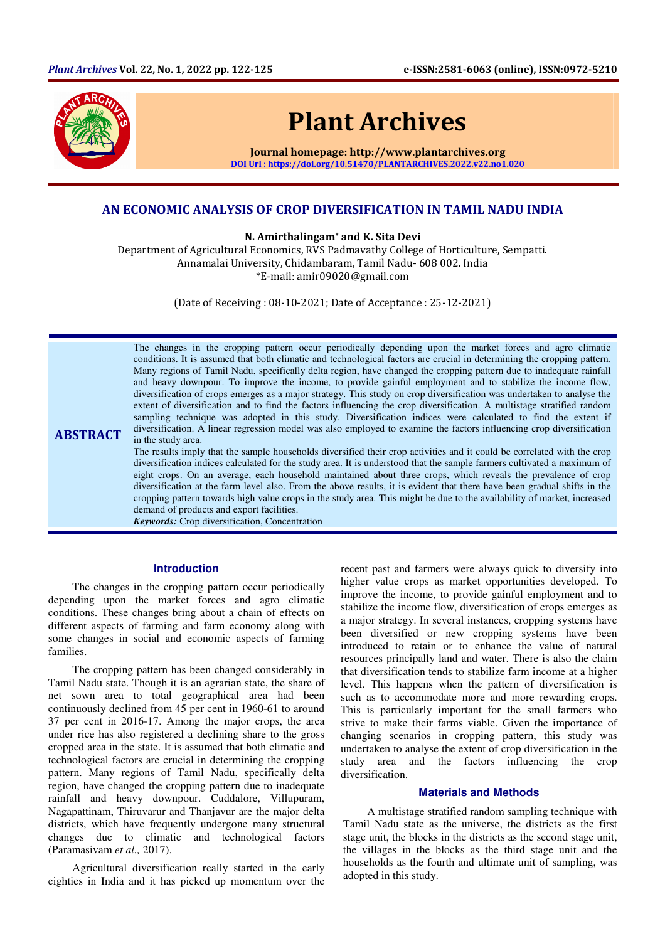

# Plant Archives

Journal homepage: http://www.plantarchives.org DOI Url : https://doi.org/10.51470/PLANTARCHIVES.2022.v22.no1.020

# AN ECONOMIC ANALYSIS OF CROP DIVERSIFICATION IN TAMIL NADU INDIA

N. Amirthalingam\* and K. Sita Devi

Department of Agricultural Economics, RVS Padmavathy College of Horticulture, Sempatti. Annamalai University, Chidambaram, Tamil Nadu- 608 002. India \*E-mail: amir09020@gmail.com

(Date of Receiving : 08-10-2021; Date of Acceptance : 25-12-2021)

**ABSTRACT** The changes in the cropping pattern occur periodically depending upon the market forces and agro climatic conditions. It is assumed that both climatic and technological factors are crucial in determining the cropping pattern. Many regions of Tamil Nadu, specifically delta region, have changed the cropping pattern due to inadequate rainfall and heavy downpour. To improve the income, to provide gainful employment and to stabilize the income flow, diversification of crops emerges as a major strategy. This study on crop diversification was undertaken to analyse the extent of diversification and to find the factors influencing the crop diversification. A multistage stratified random sampling technique was adopted in this study. Diversification indices were calculated to find the extent if diversification. A linear regression model was also employed to examine the factors influencing crop diversification in the study area.

> The results imply that the sample households diversified their crop activities and it could be correlated with the crop diversification indices calculated for the study area. It is understood that the sample farmers cultivated a maximum of eight crops. On an average, each household maintained about three crops, which reveals the prevalence of crop diversification at the farm level also. From the above results, it is evident that there have been gradual shifts in the cropping pattern towards high value crops in the study area. This might be due to the availability of market, increased demand of products and export facilities.

*Keywords:* Crop diversification, Concentration

#### **Introduction**

The changes in the cropping pattern occur periodically depending upon the market forces and agro climatic conditions. These changes bring about a chain of effects on different aspects of farming and farm economy along with some changes in social and economic aspects of farming families.

The cropping pattern has been changed considerably in Tamil Nadu state. Though it is an agrarian state, the share of net sown area to total geographical area had been continuously declined from 45 per cent in 1960-61 to around 37 per cent in 2016-17. Among the major crops, the area under rice has also registered a declining share to the gross cropped area in the state. It is assumed that both climatic and technological factors are crucial in determining the cropping pattern. Many regions of Tamil Nadu, specifically delta region, have changed the cropping pattern due to inadequate rainfall and heavy downpour. Cuddalore, Villupuram, Nagapattinam, Thiruvarur and Thanjavur are the major delta districts, which have frequently undergone many structural changes due to climatic and technological factors (Paramasivam *et al.,* 2017).

Agricultural diversification really started in the early eighties in India and it has picked up momentum over the recent past and farmers were always quick to diversify into higher value crops as market opportunities developed. To improve the income, to provide gainful employment and to stabilize the income flow, diversification of crops emerges as a major strategy. In several instances, cropping systems have been diversified or new cropping systems have been introduced to retain or to enhance the value of natural resources principally land and water. There is also the claim that diversification tends to stabilize farm income at a higher level. This happens when the pattern of diversification is such as to accommodate more and more rewarding crops. This is particularly important for the small farmers who strive to make their farms viable. Given the importance of changing scenarios in cropping pattern, this study was undertaken to analyse the extent of crop diversification in the study area and the factors influencing the crop diversification.

# **Materials and Methods**

A multistage stratified random sampling technique with Tamil Nadu state as the universe, the districts as the first stage unit, the blocks in the districts as the second stage unit, the villages in the blocks as the third stage unit and the households as the fourth and ultimate unit of sampling, was adopted in this study.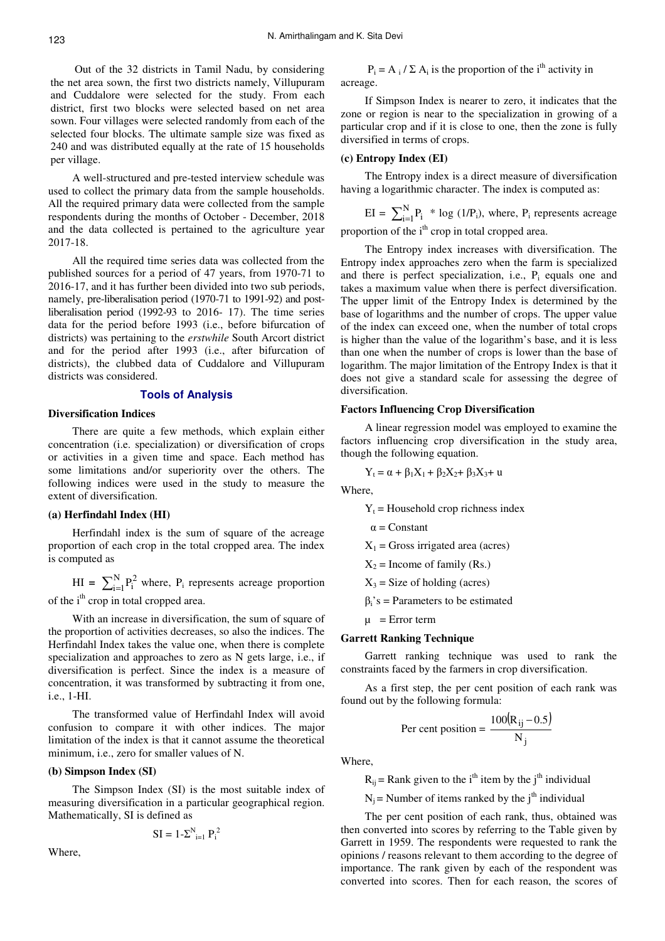Out of the 32 districts in Tamil Nadu, by considering the net area sown, the first two districts namely, Villupuram and Cuddalore were selected for the study. From each district, first two blocks were selected based on net area sown. Four villages were selected randomly from each of the selected four blocks. The ultimate sample size was fixed as 240 and was distributed equally at the rate of 15 households per village.

A well-structured and pre-tested interview schedule was used to collect the primary data from the sample households. All the required primary data were collected from the sample respondents during the months of October - December, 2018 and the data collected is pertained to the agriculture year 2017-18.

All the required time series data was collected from the published sources for a period of 47 years, from 1970-71 to 2016-17, and it has further been divided into two sub periods, namely, pre-liberalisation period (1970-71 to 1991-92) and postliberalisation period (1992-93 to 2016- 17). The time series data for the period before 1993 (i.e., before bifurcation of districts) was pertaining to the *erstwhile* South Arcort district and for the period after 1993 (i.e., after bifurcation of districts), the clubbed data of Cuddalore and Villupuram districts was considered.

# **Tools of Analysis**

#### **Diversification Indices**

There are quite a few methods, which explain either concentration (i.e. specialization) or diversification of crops or activities in a given time and space. Each method has some limitations and/or superiority over the others. The following indices were used in the study to measure the extent of diversification.

#### **(a) Herfindahl Index (HI)**

Herfindahl index is the sum of square of the acreage proportion of each crop in the total cropped area. The index is computed as

 $HI = \sum_{i=1}^{N}$  $i = 1$  $P_i^2$  where,  $P_i$  represents acreage proportion of the  $i<sup>th</sup>$  crop in total cropped area.

With an increase in diversification, the sum of square of the proportion of activities decreases, so also the indices. The Herfindahl Index takes the value one, when there is complete specialization and approaches to zero as N gets large, i.e., if diversification is perfect. Since the index is a measure of concentration, it was transformed by subtracting it from one, i.e., 1-HI.

The transformed value of Herfindahl Index will avoid confusion to compare it with other indices. The major limitation of the index is that it cannot assume the theoretical minimum, i.e., zero for smaller values of N.

# **(b) Simpson Index (SI)**

The Simpson Index (SI) is the most suitable index of measuring diversification in a particular geographical region. Mathematically, SI is defined as

$$
SI = 1 - \Sigma_{i=1}^{N} P_i^2
$$

Where,

 $P_i = A_i / \sum A_i$  is the proportion of the i<sup>th</sup> activity in acreage.

If Simpson Index is nearer to zero, it indicates that the zone or region is near to the specialization in growing of a particular crop and if it is close to one, then the zone is fully diversified in terms of crops.

#### **(c) Entropy Index (EI)**

The Entropy index is a direct measure of diversification having a logarithmic character. The index is computed as:

EI = 
$$
\sum_{i=1}^{N} P_i
$$
 \* log (1/P<sub>i</sub>), where, P<sub>i</sub> represents average proportion of the i<sup>th</sup> crop in total cropped area.

The Entropy index increases with diversification. The Entropy index approaches zero when the farm is specialized and there is perfect specialization, i.e.,  $P_i$  equals one and takes a maximum value when there is perfect diversification. The upper limit of the Entropy Index is determined by the base of logarithms and the number of crops. The upper value of the index can exceed one, when the number of total crops is higher than the value of the logarithm's base, and it is less than one when the number of crops is lower than the base of logarithm. The major limitation of the Entropy Index is that it does not give a standard scale for assessing the degree of diversification.

#### **Factors Influencing Crop Diversification**

A linear regression model was employed to examine the factors influencing crop diversification in the study area, though the following equation.

$$
Y_t = \alpha + \beta_1 X_1 + \beta_2 X_2 + \beta_3 X_3 + u
$$

Where,

 $Y_t$  = Household crop richness index

 $\alpha$  = Constant

 $X_1$  = Gross irrigated area (acres)

- $X_2$  = Income of family (Rs.)
- $X_3$  = Size of holding (acres)
- $β<sub>i</sub>'s = Parameters to be estimated$
- $\mu$  = Error term

#### **Garrett Ranking Technique**

Garrett ranking technique was used to rank the constraints faced by the farmers in crop diversification.

As a first step, the per cent position of each rank was found out by the following formula:

$$
Per cent position = \frac{100(R_{ij} - 0.5)}{N_j}
$$

Where,

$$
R_{ij}
$$
 = Rank given to the i<sup>th</sup> item by the j<sup>th</sup> individual

 $N_j$  = Number of items ranked by the j<sup>th</sup> individual

The per cent position of each rank, thus, obtained was then converted into scores by referring to the Table given by Garrett in 1959. The respondents were requested to rank the opinions / reasons relevant to them according to the degree of importance. The rank given by each of the respondent was converted into scores. Then for each reason, the scores of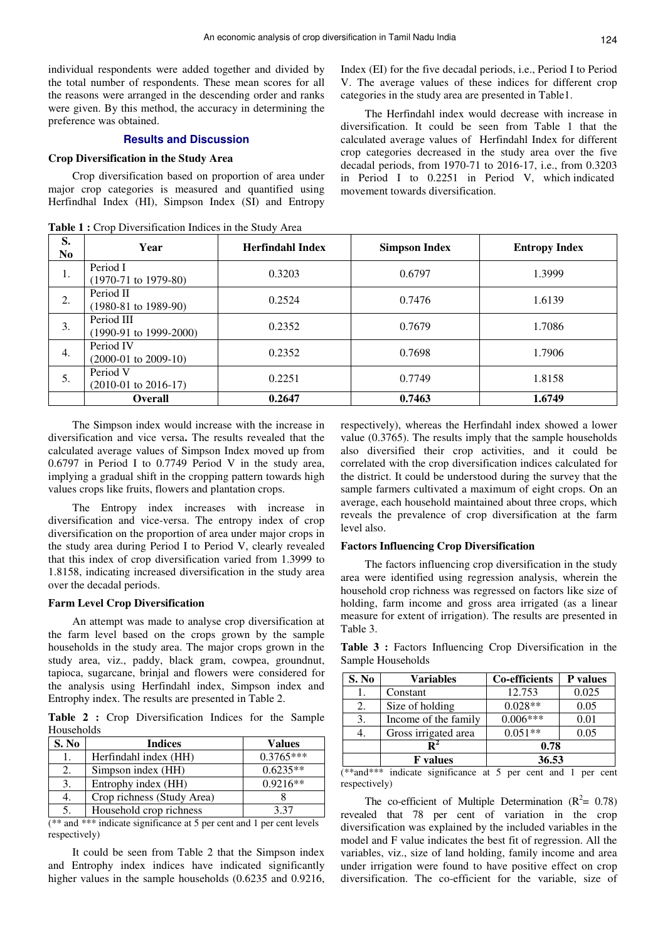individual respondents were added together and divided by the total number of respondents. These mean scores for all the reasons were arranged in the descending order and ranks were given. By this method, the accuracy in determining the preference was obtained.

# **Results and Discussion**

### **Crop Diversification in the Study Area**

Crop diversification based on proportion of area under major crop categories is measured and quantified using Herfindhal Index (HI), Simpson Index (SI) and Entropy

**Table 1 :** Crop Diversification Indices in the Study Area

Index (EI) for the five decadal periods, i.e., Period I to Period V. The average values of these indices for different crop categories in the study area are presented in Table1.

The Herfindahl index would decrease with increase in diversification. It could be seen from Table 1 that the calculated average values of Herfindahl Index for different crop categories decreased in the study area over the five decadal periods, from 1970-71 to 2016-17, i.e., from 0.3203 in Period I to 0.2251 in Period V, which indicated movement towards diversification.

|                      | <b>rapic 1</b> . Crop Diversification maters in the bitter <i>r</i> frea |                         |                      |                      |  |  |
|----------------------|--------------------------------------------------------------------------|-------------------------|----------------------|----------------------|--|--|
| S.<br>N <sub>0</sub> | Year                                                                     | <b>Herfindahl Index</b> | <b>Simpson Index</b> | <b>Entropy Index</b> |  |  |
| 1.                   | Period I<br>$(1970-71$ to $1979-80)$                                     | 0.3203                  | 0.6797               | 1.3999               |  |  |
| 2.                   | Period II<br>$(1980-81 \text{ to } 1989-90)$                             | 0.2524                  | 0.7476               | 1.6139               |  |  |
| 3.                   | Period III<br>$(1990-91$ to $1999-2000)$                                 | 0.2352                  | 0.7679               | 1.7086               |  |  |
| 4.                   | Period IV<br>$(2000-01 \text{ to } 2009-10)$                             | 0.2352                  | 0.7698               | 1.7906               |  |  |
| 5.                   | Period V<br>$(2010-01 \text{ to } 2016-17)$                              | 0.2251                  | 0.7749               | 1.8158               |  |  |
|                      | <b>Overall</b>                                                           | 0.2647                  | 0.7463               | 1.6749               |  |  |

The Simpson index would increase with the increase in diversification and vice versa**.** The results revealed that the calculated average values of Simpson Index moved up from 0.6797 in Period I to 0.7749 Period V in the study area, implying a gradual shift in the cropping pattern towards high values crops like fruits, flowers and plantation crops.

The Entropy index increases with increase in diversification and vice-versa. The entropy index of crop diversification on the proportion of area under major crops in the study area during Period I to Period V, clearly revealed that this index of crop diversification varied from 1.3999 to 1.8158, indicating increased diversification in the study area over the decadal periods.

#### **Farm Level Crop Diversification**

An attempt was made to analyse crop diversification at the farm level based on the crops grown by the sample households in the study area. The major crops grown in the study area, viz., paddy, black gram, cowpea, groundnut, tapioca, sugarcane, brinjal and flowers were considered for the analysis using Herfindahl index, Simpson index and Entrophy index. The results are presented in Table 2.

**Table 2 :** Crop Diversification Indices for the Sample Households

| S. No | <b>Indices</b>             | <b>Values</b> |
|-------|----------------------------|---------------|
|       | Herfindahl index (HH)      | $0.3765***$   |
| 2.    | Simpson index (HH)         | $0.6235**$    |
| 3.    | Entrophy index (HH)        | $0.9216**$    |
|       | Crop richness (Study Area) |               |
|       | Household crop richness    | 3.37          |

(\*\* and \*\*\* indicate significance at 5 per cent and 1 per cent levels respectively)

It could be seen from Table 2 that the Simpson index and Entrophy index indices have indicated significantly higher values in the sample households (0.6235 and 0.9216,

respectively), whereas the Herfindahl index showed a lower value (0.3765). The results imply that the sample households also diversified their crop activities, and it could be correlated with the crop diversification indices calculated for the district. It could be understood during the survey that the sample farmers cultivated a maximum of eight crops. On an average, each household maintained about three crops, which reveals the prevalence of crop diversification at the farm level also.

# **Factors Influencing Crop Diversification**

The factors influencing crop diversification in the study area were identified using regression analysis, wherein the household crop richness was regressed on factors like size of holding, farm income and gross area irrigated (as a linear measure for extent of irrigation). The results are presented in Table 3.

**Table 3 :** Factors Influencing Crop Diversification in the Sample Households

| S. No | <b>Variables</b>     | <b>Co-efficients</b> | P values |
|-------|----------------------|----------------------|----------|
| 1.    | Constant             | 12.753               | 0.025    |
| 2.    | Size of holding      | $0.028**$            | 0.05     |
| 3.    | Income of the family | $0.006***$           | 0.01     |
| 4.    | Gross irrigated area | $0.051**$            | 0.05     |
|       |                      | 0.78                 |          |
|       | <b>F</b> values      | 36.53                |          |

(\*\*and\*\*\* indicate significance at 5 per cent and 1 per cent respectively)

The co-efficient of Multiple Determination ( $R^2$  = 0.78) revealed that 78 per cent of variation in the crop diversification was explained by the included variables in the model and F value indicates the best fit of regression. All the variables, viz., size of land holding, family income and area under irrigation were found to have positive effect on crop diversification. The co-efficient for the variable, size of